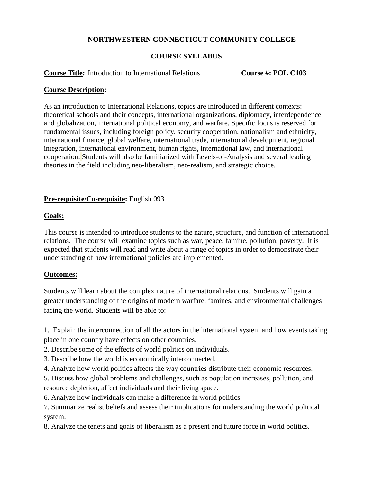# **NORTHWESTERN CONNECTICUT COMMUNITY COLLEGE**

# **COURSE SYLLABUS**

#### **Course Title:** Introduction to International Relations **Course #: POL C103**

#### **Course Description:**

As an introduction to International Relations, topics are introduced in different contexts: theoretical schools and their concepts, international organizations, diplomacy, interdependence and globalization, international political economy, and warfare. Specific focus is reserved for fundamental issues, including foreign policy, security cooperation, nationalism and ethnicity, international finance, global welfare, international trade, international development, regional integration, international environment, human rights, international law, and international cooperation. Students will also be familiarized with Levels-of-Analysis and several leading theories in the field including neo-liberalism, neo-realism, and strategic choice.

## **Pre-requisite/Co-requisite:** English 093

## **Goals:**

This course is intended to introduce students to the nature, structure, and function of international relations. The course will examine topics such as war, peace, famine, pollution, poverty. It is expected that students will read and write about a range of topics in order to demonstrate their understanding of how international policies are implemented.

## **Outcomes:**

Students will learn about the complex nature of international relations. Students will gain a greater understanding of the origins of modern warfare, famines, and environmental challenges facing the world. Students will be able to:

1. Explain the interconnection of all the actors in the international system and how events taking place in one country have effects on other countries.

2. Describe some of the effects of world politics on individuals.

3. Describe how the world is economically interconnected.

4. Analyze how world politics affects the way countries distribute their economic resources.

5. Discuss how global problems and challenges, such as population increases, pollution, and resource depletion, affect individuals and their living space.

6. Analyze how individuals can make a difference in world politics.

7. Summarize realist beliefs and assess their implications for understanding the world political system.

8. Analyze the tenets and goals of liberalism as a present and future force in world politics.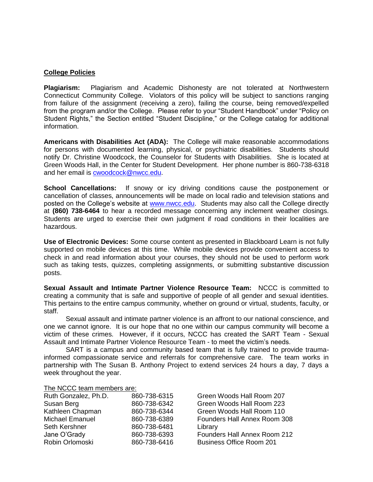#### **College Policies**

**Plagiarism:** Plagiarism and Academic Dishonesty are not tolerated at Northwestern Connecticut Community College. Violators of this policy will be subject to sanctions ranging from failure of the assignment (receiving a zero), failing the course, being removed/expelled from the program and/or the College. Please refer to your "Student Handbook" under "Policy on Student Rights," the Section entitled "Student Discipline," or the College catalog for additional information.

**Americans with Disabilities Act (ADA):** The College will make reasonable accommodations for persons with documented learning, physical, or psychiatric disabilities. Students should notify Dr. Christine Woodcock, the Counselor for Students with Disabilities. She is located at Green Woods Hall, in the Center for Student Development. Her phone number is 860-738-6318 and her email is [cwoodcock@nwcc.edu.](mailto:cwoodcock@nwcc.edu)

**School Cancellations:** If snowy or icy driving conditions cause the postponement or cancellation of classes, announcements will be made on local radio and television stations and posted on the College's website at [www.nwcc.edu.](http://www.nwcc.edu/) Students may also call the College directly at **(860) 738-6464** to hear a recorded message concerning any inclement weather closings. Students are urged to exercise their own judgment if road conditions in their localities are hazardous.

**Use of Electronic Devices:** Some course content as presented in Blackboard Learn is not fully supported on mobile devices at this time. While mobile devices provide convenient access to check in and read information about your courses, they should not be used to perform work such as taking tests, quizzes, completing assignments, or submitting substantive discussion posts.

**Sexual Assault and Intimate Partner Violence Resource Team:** NCCC is committed to creating a community that is safe and supportive of people of all gender and sexual identities. This pertains to the entire campus community, whether on ground or virtual, students, faculty, or staff.

Sexual assault and intimate partner violence is an affront to our national conscience, and one we cannot ignore. It is our hope that no one within our campus community will become a victim of these crimes. However, if it occurs, NCCC has created the SART Team - Sexual Assault and Intimate Partner Violence Resource Team - to meet the victim's needs.

SART is a campus and community based team that is fully trained to provide traumainformed compassionate service and referrals for comprehensive care. The team works in partnership with The Susan B. Anthony Project to extend services 24 hours a day, 7 days a week throughout the year.

|  |  | The NCCC team members are: |
|--|--|----------------------------|
|--|--|----------------------------|

| 860-738-6315 | Green Woods Hall Room 207       |
|--------------|---------------------------------|
| 860-738-6342 | Green Woods Hall Room 223       |
| 860-738-6344 | Green Woods Hall Room 110       |
| 860-738-6389 | Founders Hall Annex Room 308    |
| 860-738-6481 | Library                         |
| 860-738-6393 | Founders Hall Annex Room 212    |
| 860-738-6416 | <b>Business Office Room 201</b> |
|              |                                 |